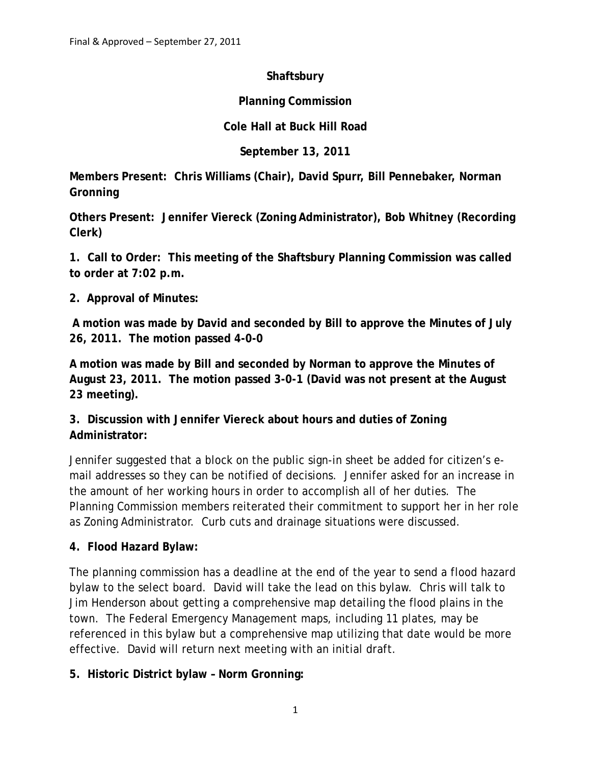### **Shaftsbury**

## **Planning Commission**

# **Cole Hall at Buck Hill Road**

**September 13, 2011**

**Members Present: Chris Williams (Chair), David Spurr, Bill Pennebaker, Norman Gronning**

**Others Present: Jennifer Viereck (Zoning Administrator), Bob Whitney (Recording Clerk)**

**1. Call to Order: This meeting of the Shaftsbury Planning Commission was called to order at 7:02 p.m.**

## **2. Approval of Minutes:**

 **A motion was made by David and seconded by Bill to approve the Minutes of July 26, 2011. The motion passed 4-0-0**

**A motion was made by Bill and seconded by Norman to approve the Minutes of August 23, 2011. The motion passed 3-0-1 (David was not present at the August 23 meeting).**

**3. Discussion with Jennifer Viereck about hours and duties of Zoning Administrator:**

Jennifer suggested that a block on the public sign-in sheet be added for citizen's email addresses so they can be notified of decisions. Jennifer asked for an increase in the amount of her working hours in order to accomplish all of her duties. The Planning Commission members reiterated their commitment to support her in her role as Zoning Administrator. Curb cuts and drainage situations were discussed.

## **4. Flood Hazard Bylaw:**

The planning commission has a deadline at the end of the year to send a flood hazard bylaw to the select board. David will take the lead on this bylaw. Chris will talk to Jim Henderson about getting a comprehensive map detailing the flood plains in the town. The Federal Emergency Management maps, including 11 plates, may be referenced in this bylaw but a comprehensive map utilizing that date would be more effective. David will return next meeting with an initial draft.

**5. Historic District bylaw – Norm Gronning:**